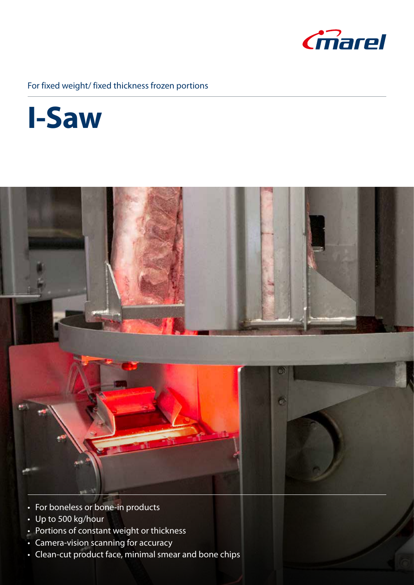

## For fixed weight/ fixed thickness frozen portions





- For boneless or bone-in products
- Up to 500 kg/hour
- Portions of constant weight or thickness
- Camera-vision scanning for accuracy
- Clean-cut product face, minimal smear and bone chips